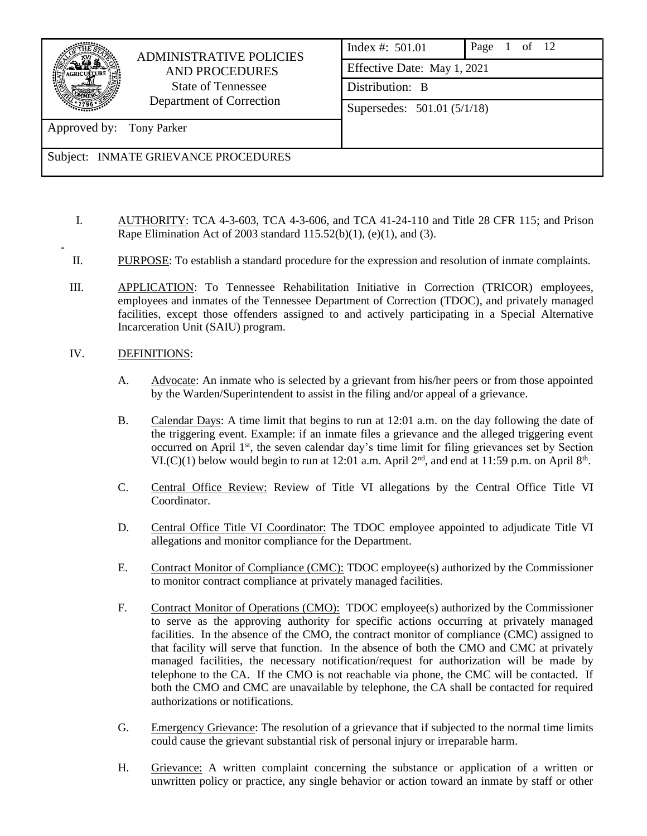

-

# ADMINISTRATIVE POLICIES AND PROCEDURES State of Tennessee Department of Correction

| Index #: 501.01               | Page $1$ of $12$ |  |  |  |
|-------------------------------|------------------|--|--|--|
| Effective Date: May 1, 2021   |                  |  |  |  |
| Distribution: B               |                  |  |  |  |
| Supersedes: $501.01 (5/1/18)$ |                  |  |  |  |

Approved by: Tony Parker

## Subject: INMATE GRIEVANCE PROCEDURES

- I. AUTHORITY: TCA 4-3-603, TCA 4-3-606, and TCA 41-24-110 and Title 28 CFR 115; and Prison Rape Elimination Act of 2003 standard  $115.52(b)(1)$ , (e)(1), and (3).
- II. PURPOSE: To establish a standard procedure for the expression and resolution of inmate complaints.
- III. APPLICATION: To Tennessee Rehabilitation Initiative in Correction (TRICOR) employees, employees and inmates of the Tennessee Department of Correction (TDOC), and privately managed facilities, except those offenders assigned to and actively participating in a Special Alternative Incarceration Unit (SAIU) program.
- IV. DEFINITIONS:
	- A. Advocate: An inmate who is selected by a grievant from his/her peers or from those appointed by the Warden/Superintendent to assist in the filing and/or appeal of a grievance.
	- B. Calendar Days: A time limit that begins to run at 12:01 a.m. on the day following the date of the triggering event. Example: if an inmate files a grievance and the alleged triggering event occurred on April 1<sup>st</sup>, the seven calendar day's time limit for filing grievances set by Section VI.(C)(1) below would begin to run at 12:01 a.m. April  $2<sup>nd</sup>$ , and end at 11:59 p.m. on April  $8<sup>th</sup>$ .
	- C. Central Office Review: Review of Title VI allegations by the Central Office Title VI Coordinator.
	- D. Central Office Title VI Coordinator: The TDOC employee appointed to adjudicate Title VI allegations and monitor compliance for the Department.
	- E. Contract Monitor of Compliance (CMC): TDOC employee(s) authorized by the Commissioner to monitor contract compliance at privately managed facilities.
	- F. Contract Monitor of Operations (CMO): TDOC employee(s) authorized by the Commissioner to serve as the approving authority for specific actions occurring at privately managed facilities. In the absence of the CMO, the contract monitor of compliance (CMC) assigned to that facility will serve that function. In the absence of both the CMO and CMC at privately managed facilities, the necessary notification/request for authorization will be made by telephone to the CA. If the CMO is not reachable via phone, the CMC will be contacted. If both the CMO and CMC are unavailable by telephone, the CA shall be contacted for required authorizations or notifications.
	- G. Emergency Grievance: The resolution of a grievance that if subjected to the normal time limits could cause the grievant substantial risk of personal injury or irreparable harm.
	- H. Grievance: A written complaint concerning the substance or application of a written or unwritten policy or practice, any single behavior or action toward an inmate by staff or other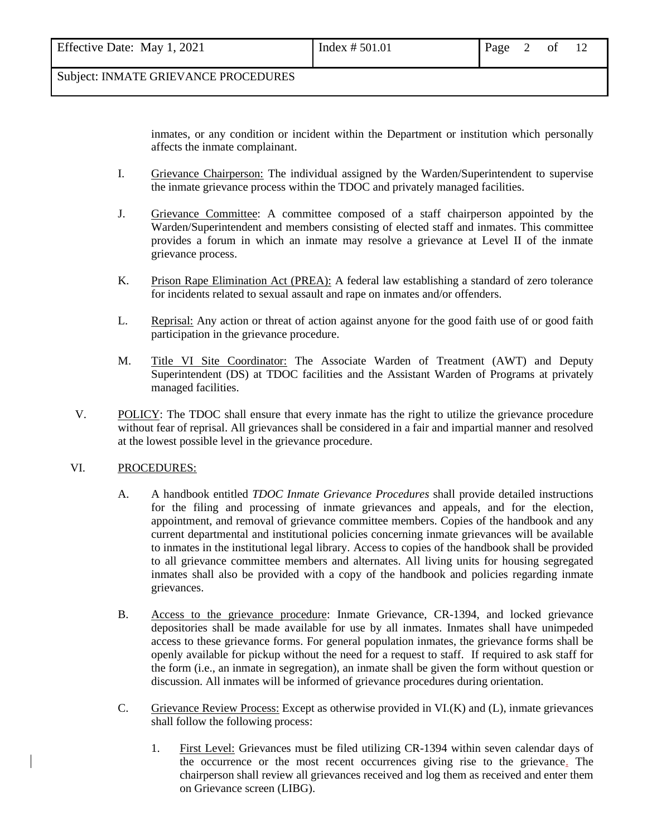| Effective Date: May 1, 2021 | Index # 501.01 | Page $2$ of 12 |  |  |  |  |
|-----------------------------|----------------|----------------|--|--|--|--|
|-----------------------------|----------------|----------------|--|--|--|--|

inmates, or any condition or incident within the Department or institution which personally affects the inmate complainant.

- I. Grievance Chairperson: The individual assigned by the Warden/Superintendent to supervise the inmate grievance process within the TDOC and privately managed facilities.
- J. Grievance Committee: A committee composed of a staff chairperson appointed by the Warden/Superintendent and members consisting of elected staff and inmates. This committee provides a forum in which an inmate may resolve a grievance at Level II of the inmate grievance process.
- K. Prison Rape Elimination Act (PREA): A federal law establishing a standard of zero tolerance for incidents related to sexual assault and rape on inmates and/or offenders.
- L. Reprisal: Any action or threat of action against anyone for the good faith use of or good faith participation in the grievance procedure.
- M. Title VI Site Coordinator: The Associate Warden of Treatment (AWT) and Deputy Superintendent (DS) at TDOC facilities and the Assistant Warden of Programs at privately managed facilities.
- V. POLICY: The TDOC shall ensure that every inmate has the right to utilize the grievance procedure without fear of reprisal. All grievances shall be considered in a fair and impartial manner and resolved at the lowest possible level in the grievance procedure.

### VI. PROCEDURES:

- A. A handbook entitled *TDOC Inmate Grievance Procedures* shall provide detailed instructions for the filing and processing of inmate grievances and appeals, and for the election, appointment, and removal of grievance committee members. Copies of the handbook and any current departmental and institutional policies concerning inmate grievances will be available to inmates in the institutional legal library. Access to copies of the handbook shall be provided to all grievance committee members and alternates. All living units for housing segregated inmates shall also be provided with a copy of the handbook and policies regarding inmate grievances.
- B. Access to the grievance procedure: Inmate Grievance, CR-1394, and locked grievance depositories shall be made available for use by all inmates. Inmates shall have unimpeded access to these grievance forms. For general population inmates, the grievance forms shall be openly available for pickup without the need for a request to staff. If required to ask staff for the form (i.e., an inmate in segregation), an inmate shall be given the form without question or discussion. All inmates will be informed of grievance procedures during orientation.
- C. Grievance Review Process: Except as otherwise provided in VI.(K) and (L), inmate grievances shall follow the following process:
	- 1. First Level: Grievances must be filed utilizing CR-1394 within seven calendar days of the occurrence or the most recent occurrences giving rise to the grievance. The chairperson shall review all grievances received and log them as received and enter them on Grievance screen (LIBG).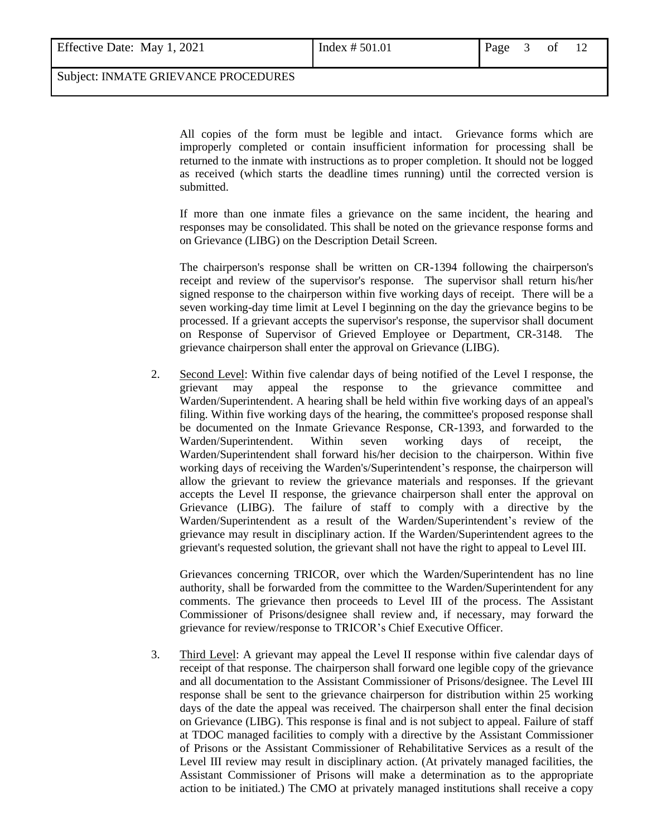| Effective Date: May 1, 2021 |  |  |  |
|-----------------------------|--|--|--|
|-----------------------------|--|--|--|

All copies of the form must be legible and intact. Grievance forms which are improperly completed or contain insufficient information for processing shall be returned to the inmate with instructions as to proper completion. It should not be logged as received (which starts the deadline times running) until the corrected version is submitted.

If more than one inmate files a grievance on the same incident, the hearing and responses may be consolidated. This shall be noted on the grievance response forms and on Grievance (LIBG) on the Description Detail Screen.

The chairperson's response shall be written on CR-1394 following the chairperson's receipt and review of the supervisor's response. The supervisor shall return his/her signed response to the chairperson within five working days of receipt. There will be a seven working-day time limit at Level I beginning on the day the grievance begins to be processed. If a grievant accepts the supervisor's response, the supervisor shall document on Response of Supervisor of Grieved Employee or Department, CR-3148. The grievance chairperson shall enter the approval on Grievance (LIBG).

2. Second Level: Within five calendar days of being notified of the Level I response, the grievant may appeal the response to the grievance committee and Warden/Superintendent. A hearing shall be held within five working days of an appeal's filing. Within five working days of the hearing, the committee's proposed response shall be documented on the Inmate Grievance Response, CR-1393, and forwarded to the Warden/Superintendent. Within seven working days of receipt, the Warden/Superintendent shall forward his/her decision to the chairperson. Within five working days of receiving the Warden's/Superintendent's response, the chairperson will allow the grievant to review the grievance materials and responses. If the grievant accepts the Level II response, the grievance chairperson shall enter the approval on Grievance (LIBG). The failure of staff to comply with a directive by the Warden/Superintendent as a result of the Warden/Superintendent's review of the grievance may result in disciplinary action. If the Warden/Superintendent agrees to the grievant's requested solution, the grievant shall not have the right to appeal to Level III.

Grievances concerning TRICOR, over which the Warden/Superintendent has no line authority, shall be forwarded from the committee to the Warden/Superintendent for any comments. The grievance then proceeds to Level III of the process. The Assistant Commissioner of Prisons/designee shall review and, if necessary, may forward the grievance for review/response to TRICOR's Chief Executive Officer.

3. Third Level: A grievant may appeal the Level II response within five calendar days of receipt of that response. The chairperson shall forward one legible copy of the grievance and all documentation to the Assistant Commissioner of Prisons/designee. The Level III response shall be sent to the grievance chairperson for distribution within 25 working days of the date the appeal was received. The chairperson shall enter the final decision on Grievance (LIBG). This response is final and is not subject to appeal. Failure of staff at TDOC managed facilities to comply with a directive by the Assistant Commissioner of Prisons or the Assistant Commissioner of Rehabilitative Services as a result of the Level III review may result in disciplinary action. (At privately managed facilities, the Assistant Commissioner of Prisons will make a determination as to the appropriate action to be initiated.) The CMO at privately managed institutions shall receive a copy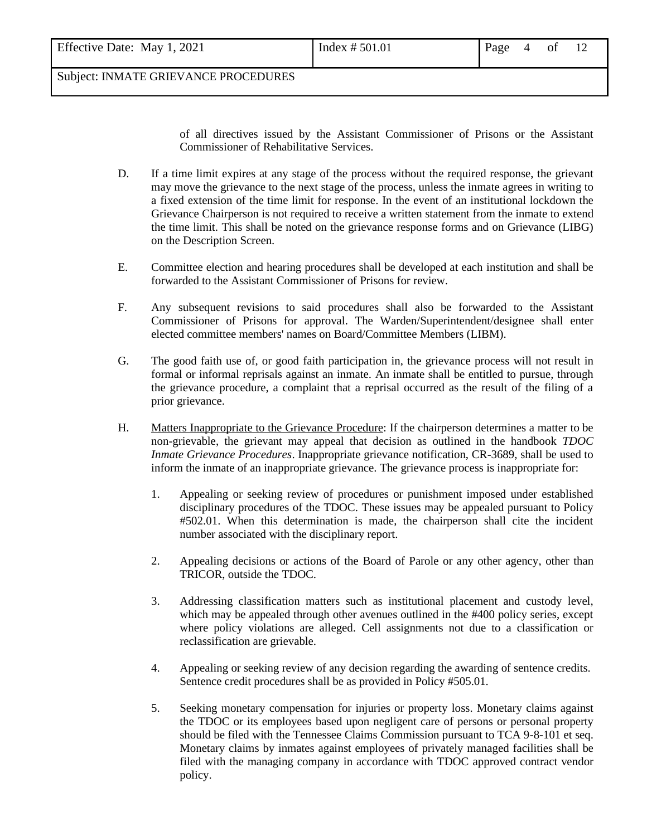| Effective Date: May 1, 2021 | Index # 501.01 | Page $4$ of $12$ |  |  |
|-----------------------------|----------------|------------------|--|--|

of all directives issued by the Assistant Commissioner of Prisons or the Assistant Commissioner of Rehabilitative Services.

- D. If a time limit expires at any stage of the process without the required response, the grievant may move the grievance to the next stage of the process, unless the inmate agrees in writing to a fixed extension of the time limit for response. In the event of an institutional lockdown the Grievance Chairperson is not required to receive a written statement from the inmate to extend the time limit. This shall be noted on the grievance response forms and on Grievance (LIBG) on the Description Screen.
- E. Committee election and hearing procedures shall be developed at each institution and shall be forwarded to the Assistant Commissioner of Prisons for review.
- F. Any subsequent revisions to said procedures shall also be forwarded to the Assistant Commissioner of Prisons for approval. The Warden/Superintendent/designee shall enter elected committee members' names on Board/Committee Members (LIBM).
- G. The good faith use of, or good faith participation in, the grievance process will not result in formal or informal reprisals against an inmate. An inmate shall be entitled to pursue, through the grievance procedure, a complaint that a reprisal occurred as the result of the filing of a prior grievance.
- H. Matters Inappropriate to the Grievance Procedure: If the chairperson determines a matter to be non-grievable, the grievant may appeal that decision as outlined in the handbook *TDOC Inmate Grievance Procedures*. Inappropriate grievance notification, CR-3689, shall be used to inform the inmate of an inappropriate grievance. The grievance process is inappropriate for:
	- 1. Appealing or seeking review of procedures or punishment imposed under established disciplinary procedures of the TDOC. These issues may be appealed pursuant to Policy #502.01. When this determination is made, the chairperson shall cite the incident number associated with the disciplinary report.
	- 2. Appealing decisions or actions of the Board of Parole or any other agency, other than TRICOR, outside the TDOC.
	- 3. Addressing classification matters such as institutional placement and custody level, which may be appealed through other avenues outlined in the #400 policy series, except where policy violations are alleged. Cell assignments not due to a classification or reclassification are grievable.
	- 4. Appealing or seeking review of any decision regarding the awarding of sentence credits. Sentence credit procedures shall be as provided in Policy #505.01.
	- 5. Seeking monetary compensation for injuries or property loss. Monetary claims against the TDOC or its employees based upon negligent care of persons or personal property should be filed with the Tennessee Claims Commission pursuant to TCA 9-8-101 et seq. Monetary claims by inmates against employees of privately managed facilities shall be filed with the managing company in accordance with TDOC approved contract vendor policy.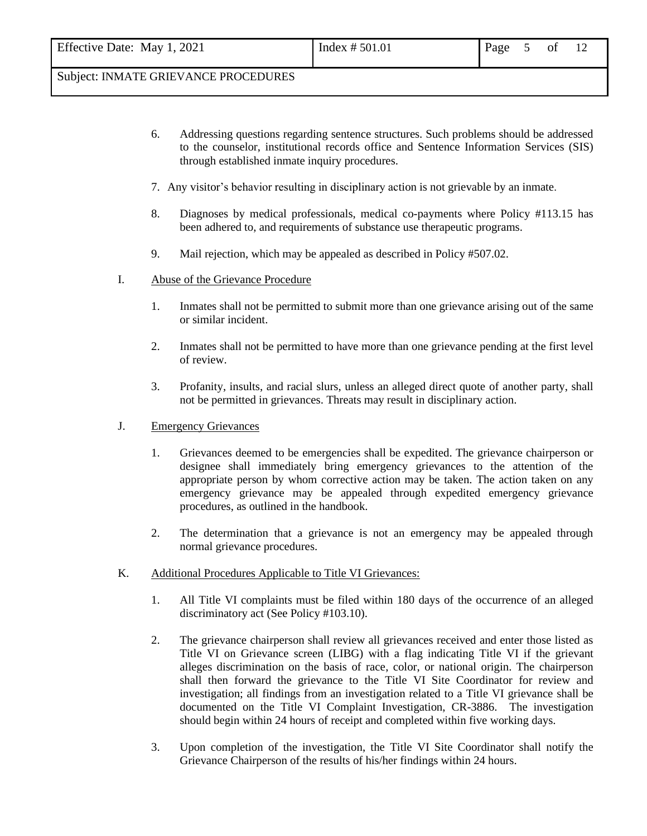- 6. Addressing questions regarding sentence structures. Such problems should be addressed to the counselor, institutional records office and Sentence Information Services (SIS) through established inmate inquiry procedures.
- 7. Any visitor's behavior resulting in disciplinary action is not grievable by an inmate.
- 8. Diagnoses by medical professionals, medical co-payments where Policy #113.15 has been adhered to, and requirements of substance use therapeutic programs.
- 9. Mail rejection, which may be appealed as described in Policy #507.02.
- I. Abuse of the Grievance Procedure
	- 1. Inmates shall not be permitted to submit more than one grievance arising out of the same or similar incident.
	- 2. Inmates shall not be permitted to have more than one grievance pending at the first level of review.
	- 3. Profanity, insults, and racial slurs, unless an alleged direct quote of another party, shall not be permitted in grievances. Threats may result in disciplinary action.
- J. Emergency Grievances
	- 1. Grievances deemed to be emergencies shall be expedited. The grievance chairperson or designee shall immediately bring emergency grievances to the attention of the appropriate person by whom corrective action may be taken. The action taken on any emergency grievance may be appealed through expedited emergency grievance procedures, as outlined in the handbook.
	- 2. The determination that a grievance is not an emergency may be appealed through normal grievance procedures.
- K. Additional Procedures Applicable to Title VI Grievances:
	- 1. All Title VI complaints must be filed within 180 days of the occurrence of an alleged discriminatory act (See Policy #103.10).
	- 2. The grievance chairperson shall review all grievances received and enter those listed as Title VI on Grievance screen (LIBG) with a flag indicating Title VI if the grievant alleges discrimination on the basis of race, color, or national origin. The chairperson shall then forward the grievance to the Title VI Site Coordinator for review and investigation; all findings from an investigation related to a Title VI grievance shall be documented on the Title VI Complaint Investigation, CR-3886. The investigation should begin within 24 hours of receipt and completed within five working days.
	- 3. Upon completion of the investigation, the Title VI Site Coordinator shall notify the Grievance Chairperson of the results of his/her findings within 24 hours.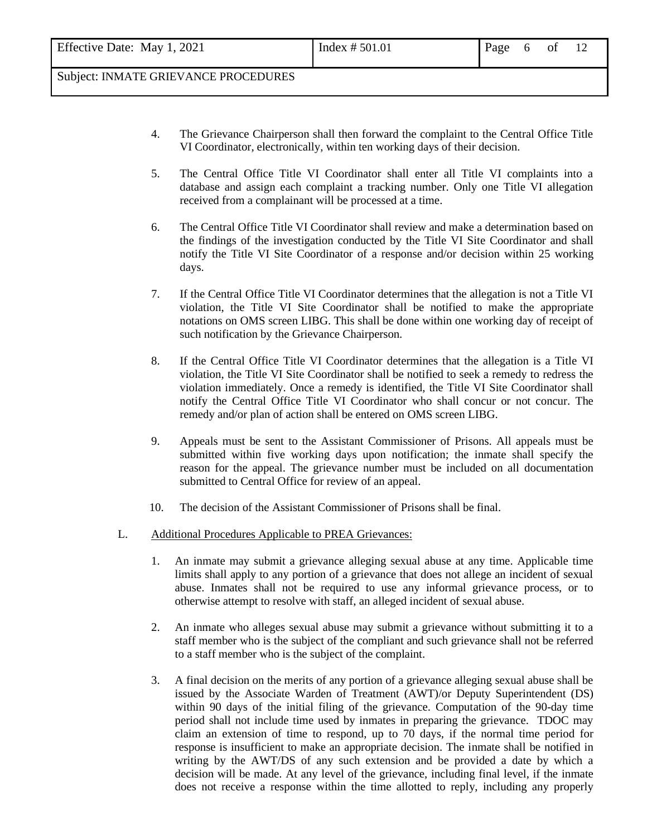- 4. The Grievance Chairperson shall then forward the complaint to the Central Office Title VI Coordinator, electronically, within ten working days of their decision.
- 5. The Central Office Title VI Coordinator shall enter all Title VI complaints into a database and assign each complaint a tracking number. Only one Title VI allegation received from a complainant will be processed at a time.
- 6. The Central Office Title VI Coordinator shall review and make a determination based on the findings of the investigation conducted by the Title VI Site Coordinator and shall notify the Title VI Site Coordinator of a response and/or decision within 25 working days.
- 7. If the Central Office Title VI Coordinator determines that the allegation is not a Title VI violation, the Title VI Site Coordinator shall be notified to make the appropriate notations on OMS screen LIBG. This shall be done within one working day of receipt of such notification by the Grievance Chairperson.
- 8. If the Central Office Title VI Coordinator determines that the allegation is a Title VI violation, the Title VI Site Coordinator shall be notified to seek a remedy to redress the violation immediately. Once a remedy is identified, the Title VI Site Coordinator shall notify the Central Office Title VI Coordinator who shall concur or not concur. The remedy and/or plan of action shall be entered on OMS screen LIBG.
- 9. Appeals must be sent to the Assistant Commissioner of Prisons. All appeals must be submitted within five working days upon notification; the inmate shall specify the reason for the appeal. The grievance number must be included on all documentation submitted to Central Office for review of an appeal.
- 10. The decision of the Assistant Commissioner of Prisons shall be final.
- L. Additional Procedures Applicable to PREA Grievances:
	- 1. An inmate may submit a grievance alleging sexual abuse at any time. Applicable time limits shall apply to any portion of a grievance that does not allege an incident of sexual abuse. Inmates shall not be required to use any informal grievance process, or to otherwise attempt to resolve with staff, an alleged incident of sexual abuse.
	- 2. An inmate who alleges sexual abuse may submit a grievance without submitting it to a staff member who is the subject of the compliant and such grievance shall not be referred to a staff member who is the subject of the complaint.
	- 3. A final decision on the merits of any portion of a grievance alleging sexual abuse shall be issued by the Associate Warden of Treatment (AWT)/or Deputy Superintendent (DS) within 90 days of the initial filing of the grievance. Computation of the 90-day time period shall not include time used by inmates in preparing the grievance. TDOC may claim an extension of time to respond, up to 70 days, if the normal time period for response is insufficient to make an appropriate decision. The inmate shall be notified in writing by the AWT/DS of any such extension and be provided a date by which a decision will be made. At any level of the grievance, including final level, if the inmate does not receive a response within the time allotted to reply, including any properly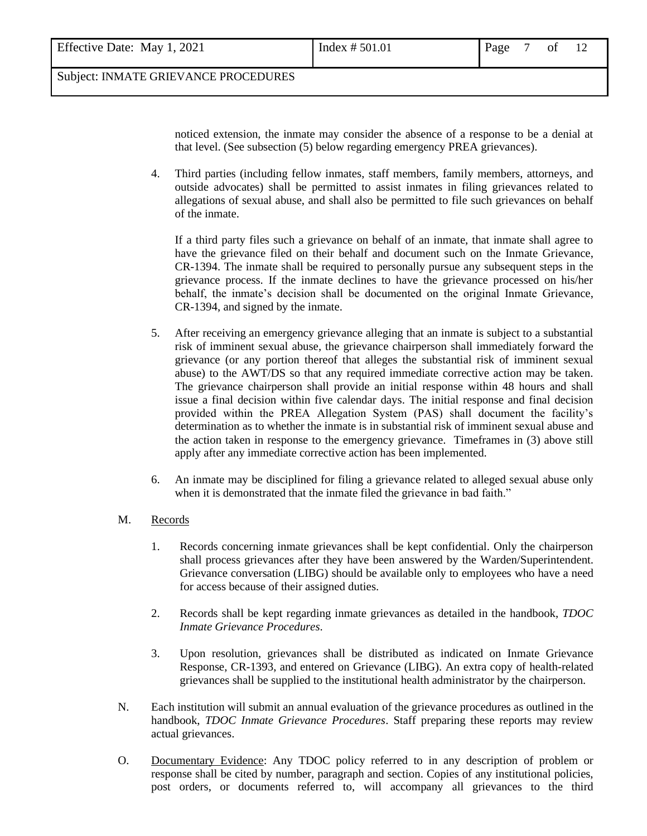| Effective Date: May 1, 2021 | Page 7  |
|-----------------------------|---------|
| Index $# 501.01$            | of $12$ |

noticed extension, the inmate may consider the absence of a response to be a denial at that level. (See subsection (5) below regarding emergency PREA grievances).

4. Third parties (including fellow inmates, staff members, family members, attorneys, and outside advocates) shall be permitted to assist inmates in filing grievances related to allegations of sexual abuse, and shall also be permitted to file such grievances on behalf of the inmate.

If a third party files such a grievance on behalf of an inmate, that inmate shall agree to have the grievance filed on their behalf and document such on the Inmate Grievance, CR-1394. The inmate shall be required to personally pursue any subsequent steps in the grievance process. If the inmate declines to have the grievance processed on his/her behalf, the inmate's decision shall be documented on the original Inmate Grievance, CR-1394, and signed by the inmate.

- 5. After receiving an emergency grievance alleging that an inmate is subject to a substantial risk of imminent sexual abuse, the grievance chairperson shall immediately forward the grievance (or any portion thereof that alleges the substantial risk of imminent sexual abuse) to the AWT/DS so that any required immediate corrective action may be taken. The grievance chairperson shall provide an initial response within 48 hours and shall issue a final decision within five calendar days. The initial response and final decision provided within the PREA Allegation System (PAS) shall document the facility's determination as to whether the inmate is in substantial risk of imminent sexual abuse and the action taken in response to the emergency grievance. Timeframes in (3) above still apply after any immediate corrective action has been implemented.
- 6. An inmate may be disciplined for filing a grievance related to alleged sexual abuse only when it is demonstrated that the inmate filed the grievance in bad faith."
- M. Records
	- 1. Records concerning inmate grievances shall be kept confidential. Only the chairperson shall process grievances after they have been answered by the Warden/Superintendent. Grievance conversation (LIBG) should be available only to employees who have a need for access because of their assigned duties.
	- 2. Records shall be kept regarding inmate grievances as detailed in the handbook, *TDOC Inmate Grievance Procedures*.
	- 3. Upon resolution, grievances shall be distributed as indicated on Inmate Grievance Response, CR-1393, and entered on Grievance (LIBG). An extra copy of health-related grievances shall be supplied to the institutional health administrator by the chairperson.
- N. Each institution will submit an annual evaluation of the grievance procedures as outlined in the handbook, *TDOC Inmate Grievance Procedures*. Staff preparing these reports may review actual grievances.
- O. Documentary Evidence: Any TDOC policy referred to in any description of problem or response shall be cited by number, paragraph and section. Copies of any institutional policies, post orders, or documents referred to, will accompany all grievances to the third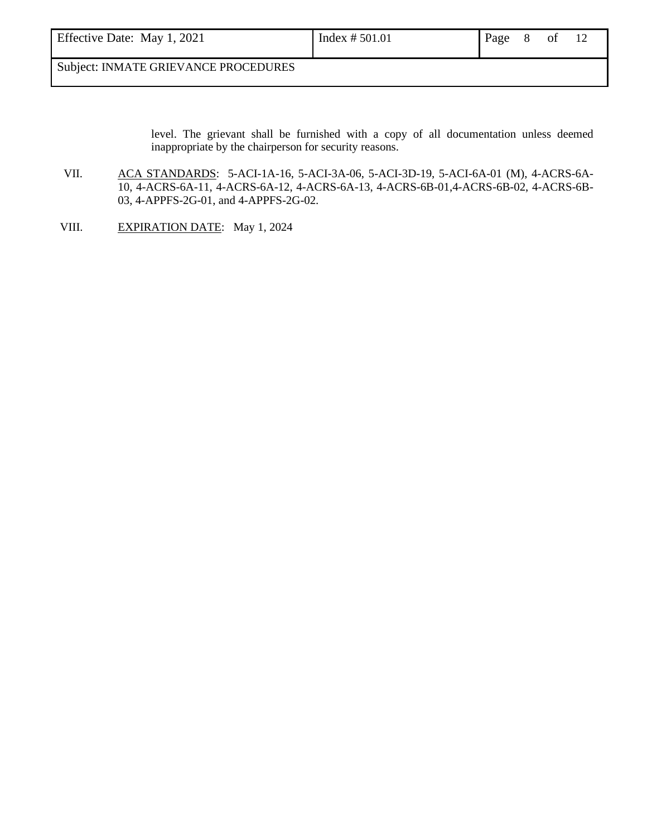| Effective Date: May 1, 2021 | Index $# 501.01$ | Page 8 of |  |  |
|-----------------------------|------------------|-----------|--|--|
|                             |                  |           |  |  |

level. The grievant shall be furnished with a copy of all documentation unless deemed inappropriate by the chairperson for security reasons.

- VII. ACA STANDARDS: 5-ACI-1A-16, 5-ACI-3A-06, 5-ACI-3D-19, 5-ACI-6A-01 (M), 4-ACRS-6A-10, 4-ACRS-6A-11, 4-ACRS-6A-12, 4-ACRS-6A-13, 4-ACRS-6B-01,4-ACRS-6B-02, 4-ACRS-6B-03, 4-APPFS-2G-01, and 4-APPFS-2G-02.
- VIII. EXPIRATION DATE: May 1, 2024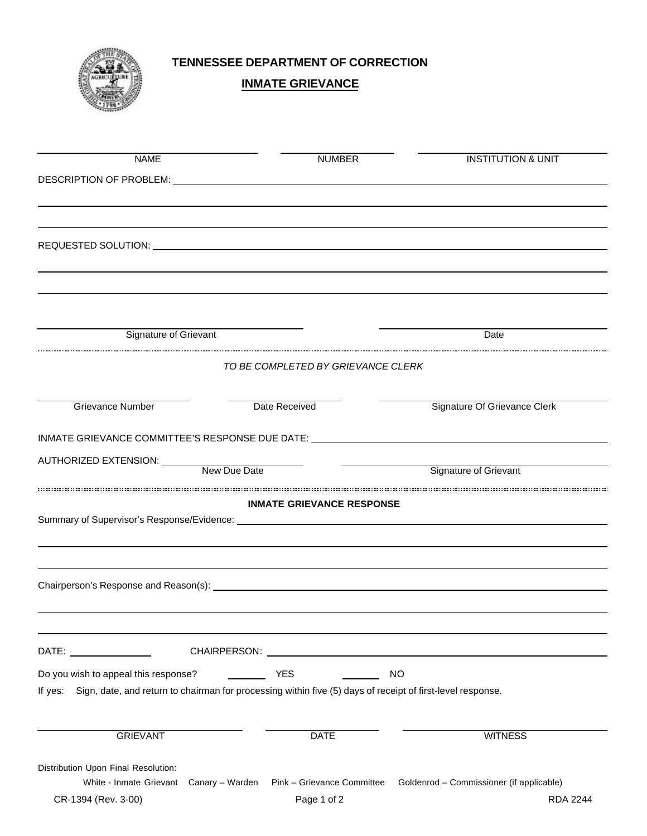

# **INMATE GRIEVANCE**

| <b>NAME</b>                          | <b>NUMBER</b>                                                                                                                                                                                                                                                                                                                                                                                                                   | <b>INSTITUTION &amp; UNIT</b>            |
|--------------------------------------|---------------------------------------------------------------------------------------------------------------------------------------------------------------------------------------------------------------------------------------------------------------------------------------------------------------------------------------------------------------------------------------------------------------------------------|------------------------------------------|
|                                      | DESCRIPTION OF PROBLEM: University of the contract of the contract of the contract of the contract of the contract of the contract of the contract of the contract of the contract of the contract of the contract of the cont                                                                                                                                                                                                  |                                          |
|                                      |                                                                                                                                                                                                                                                                                                                                                                                                                                 |                                          |
|                                      |                                                                                                                                                                                                                                                                                                                                                                                                                                 |                                          |
|                                      |                                                                                                                                                                                                                                                                                                                                                                                                                                 |                                          |
|                                      |                                                                                                                                                                                                                                                                                                                                                                                                                                 |                                          |
|                                      |                                                                                                                                                                                                                                                                                                                                                                                                                                 |                                          |
|                                      |                                                                                                                                                                                                                                                                                                                                                                                                                                 |                                          |
| Signature of Grievant                |                                                                                                                                                                                                                                                                                                                                                                                                                                 | Date                                     |
|                                      | TO BE COMPLETED BY GRIEVANCE CLERK                                                                                                                                                                                                                                                                                                                                                                                              |                                          |
|                                      |                                                                                                                                                                                                                                                                                                                                                                                                                                 |                                          |
| <b>Grievance Number</b>              | Date Received                                                                                                                                                                                                                                                                                                                                                                                                                   | Signature Of Grievance Clerk             |
|                                      | INMATE GRIEVANCE COMMITTEE'S RESPONSE DUE DATE: _________________________________                                                                                                                                                                                                                                                                                                                                               |                                          |
|                                      |                                                                                                                                                                                                                                                                                                                                                                                                                                 |                                          |
| AUTHORIZED EXTENSION: New Due Date   |                                                                                                                                                                                                                                                                                                                                                                                                                                 | Signature of Grievant                    |
|                                      | <b>INMATE GRIEVANCE RESPONSE</b>                                                                                                                                                                                                                                                                                                                                                                                                |                                          |
|                                      |                                                                                                                                                                                                                                                                                                                                                                                                                                 |                                          |
|                                      |                                                                                                                                                                                                                                                                                                                                                                                                                                 |                                          |
|                                      |                                                                                                                                                                                                                                                                                                                                                                                                                                 |                                          |
|                                      |                                                                                                                                                                                                                                                                                                                                                                                                                                 |                                          |
|                                      |                                                                                                                                                                                                                                                                                                                                                                                                                                 |                                          |
|                                      |                                                                                                                                                                                                                                                                                                                                                                                                                                 |                                          |
| DATE: ________________               | CHAIRPERSON: University of the CHAIRPERSON:                                                                                                                                                                                                                                                                                                                                                                                     |                                          |
| Do you wish to appeal this response? | $\frac{1}{\sqrt{1-\frac{1}{2}}}\frac{1}{\sqrt{1-\frac{1}{2}}}\frac{1}{\sqrt{1-\frac{1}{2}}}\frac{1}{\sqrt{1-\frac{1}{2}}}\frac{1}{\sqrt{1-\frac{1}{2}}}\frac{1}{\sqrt{1-\frac{1}{2}}}\frac{1}{\sqrt{1-\frac{1}{2}}}\frac{1}{\sqrt{1-\frac{1}{2}}}\frac{1}{\sqrt{1-\frac{1}{2}}}\frac{1}{\sqrt{1-\frac{1}{2}}}\frac{1}{\sqrt{1-\frac{1}{2}}}\frac{1}{\sqrt{1-\frac{1}{2}}}\frac{1}{\sqrt{1-\frac{1}{2}}}\frac{1}{\sqrt{1-\frac{$ | <b>NO</b>                                |
|                                      | If yes: Sign, date, and return to chairman for processing within five (5) days of receipt of first-level response.                                                                                                                                                                                                                                                                                                              |                                          |
|                                      |                                                                                                                                                                                                                                                                                                                                                                                                                                 |                                          |
| <b>GRIEVANT</b>                      | <b>DATE</b>                                                                                                                                                                                                                                                                                                                                                                                                                     | <b>WITNESS</b>                           |
| Distribution Upon Final Resolution:  |                                                                                                                                                                                                                                                                                                                                                                                                                                 |                                          |
|                                      | White - Inmate Grievant Canary - Warden Pink - Grievance Committee                                                                                                                                                                                                                                                                                                                                                              | Goldenrod - Commissioner (if applicable) |
| CR-1394 (Rev. 3-00)                  | Page 1 of 2                                                                                                                                                                                                                                                                                                                                                                                                                     | <b>RDA 2244</b>                          |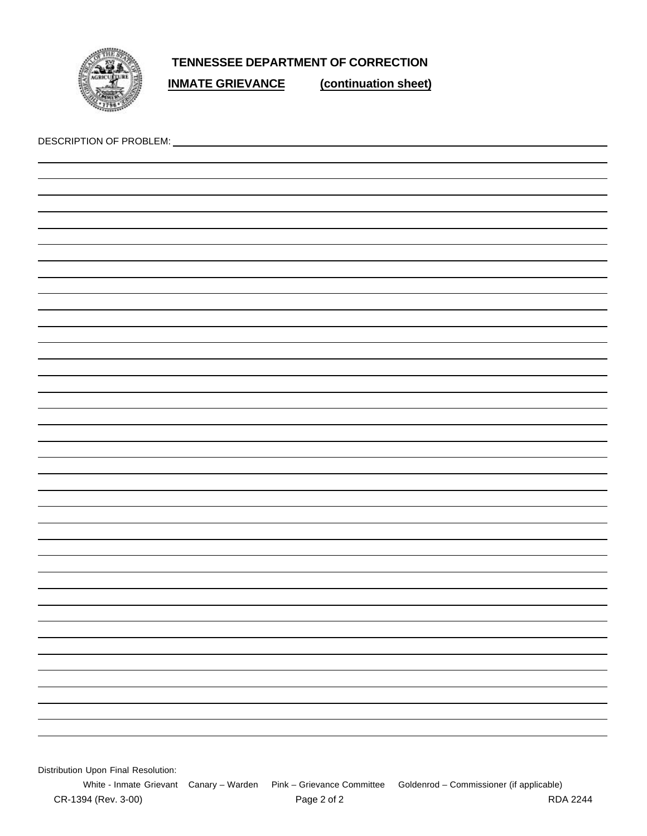

**INMATE GRIEVANCE (continuation sheet)**

| Distribution Upon Final Resolution: |
|-------------------------------------|

White - Inmate Grievant Canary – Warden Pink – Grievance Committee Goldenrod – Commissioner (if applicable)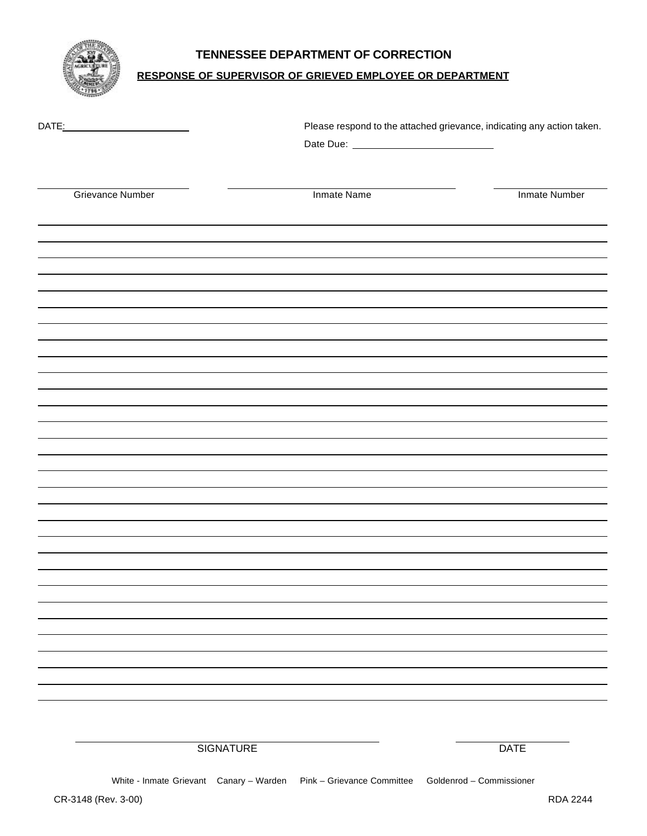

## **RESPONSE OF SUPERVISOR OF GRIEVED EMPLOYEE OR DEPARTMENT**

| DATE:                   |                    | Please respond to the attached grievance, indicating any action taken. |
|-------------------------|--------------------|------------------------------------------------------------------------|
| <b>Grievance Number</b> | <b>Inmate Name</b> | Inmate Number                                                          |
|                         |                    |                                                                        |
|                         |                    |                                                                        |
|                         |                    |                                                                        |
|                         |                    |                                                                        |
|                         |                    |                                                                        |
|                         |                    |                                                                        |
|                         |                    |                                                                        |
|                         |                    |                                                                        |
|                         |                    |                                                                        |
|                         |                    |                                                                        |
|                         |                    |                                                                        |
|                         |                    |                                                                        |
|                         |                    |                                                                        |
|                         |                    |                                                                        |
|                         |                    |                                                                        |
|                         |                    |                                                                        |
|                         |                    |                                                                        |
|                         |                    |                                                                        |
|                         |                    |                                                                        |
|                         |                    |                                                                        |
| <b>SIGNATURE</b>        |                    | <b>DATE</b>                                                            |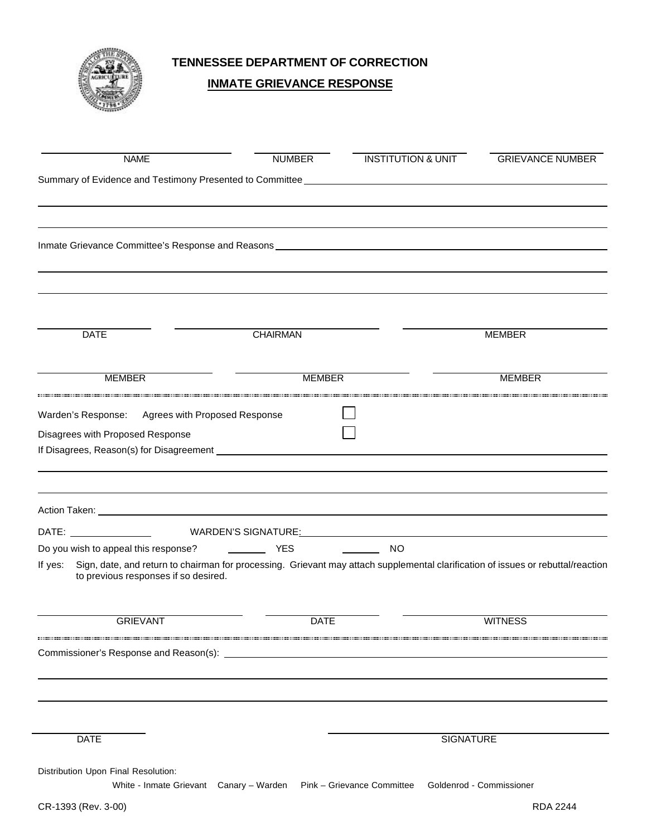

## **INMATE GRIEVANCE RESPONSE**

| <b>NAME</b>                                                                                                                                                                                                                          | <b>NUMBER</b>                                                                                                                    | <b>INSTITUTION &amp; UNIT</b> | <b>GRIEVANCE NUMBER</b> |
|--------------------------------------------------------------------------------------------------------------------------------------------------------------------------------------------------------------------------------------|----------------------------------------------------------------------------------------------------------------------------------|-------------------------------|-------------------------|
| Summary of Evidence and Testimony Presented to Committee ________________________                                                                                                                                                    |                                                                                                                                  |                               |                         |
|                                                                                                                                                                                                                                      |                                                                                                                                  |                               |                         |
|                                                                                                                                                                                                                                      |                                                                                                                                  |                               |                         |
|                                                                                                                                                                                                                                      |                                                                                                                                  |                               |                         |
| <b>DATE</b>                                                                                                                                                                                                                          | <b>CHAIRMAN</b>                                                                                                                  |                               | <b>MEMBER</b>           |
| <b>MEMBER</b>                                                                                                                                                                                                                        | <b>MEMBER</b>                                                                                                                    |                               | <b>MEMBER</b>           |
| Warden's Response:                                                                                                                                                                                                                   | Agrees with Proposed Response                                                                                                    |                               |                         |
| Disagrees with Proposed Response                                                                                                                                                                                                     |                                                                                                                                  |                               |                         |
| If Disagrees, Reason(s) for Disagreement <b>example and the control of the Control of the Control of the Control of the Control of the Control of the Control of the Control of the Control of the Control of the Control of the</b> |                                                                                                                                  |                               |                         |
|                                                                                                                                                                                                                                      |                                                                                                                                  |                               |                         |
|                                                                                                                                                                                                                                      | YES                                                                                                                              | <b>NO</b>                     |                         |
| Do you wish to appeal this response?<br>If yes:<br>to previous responses if so desired.                                                                                                                                              | Sign, date, and return to chairman for processing. Grievant may attach supplemental clarification of issues or rebuttal/reaction |                               |                         |
| <b>GRIEVANT</b>                                                                                                                                                                                                                      | DATE                                                                                                                             |                               | <b>WITNESS</b>          |
|                                                                                                                                                                                                                                      |                                                                                                                                  |                               |                         |
|                                                                                                                                                                                                                                      |                                                                                                                                  |                               |                         |
|                                                                                                                                                                                                                                      |                                                                                                                                  |                               |                         |
| <b>DATE</b>                                                                                                                                                                                                                          |                                                                                                                                  | <b>SIGNATURE</b>              |                         |
| Distribution Upon Final Resolution:                                                                                                                                                                                                  |                                                                                                                                  |                               |                         |
|                                                                                                                                                                                                                                      | White - Inmate Grievant Canary - Warden Pink - Grievance Committee Goldenrod - Commissioner                                      |                               |                         |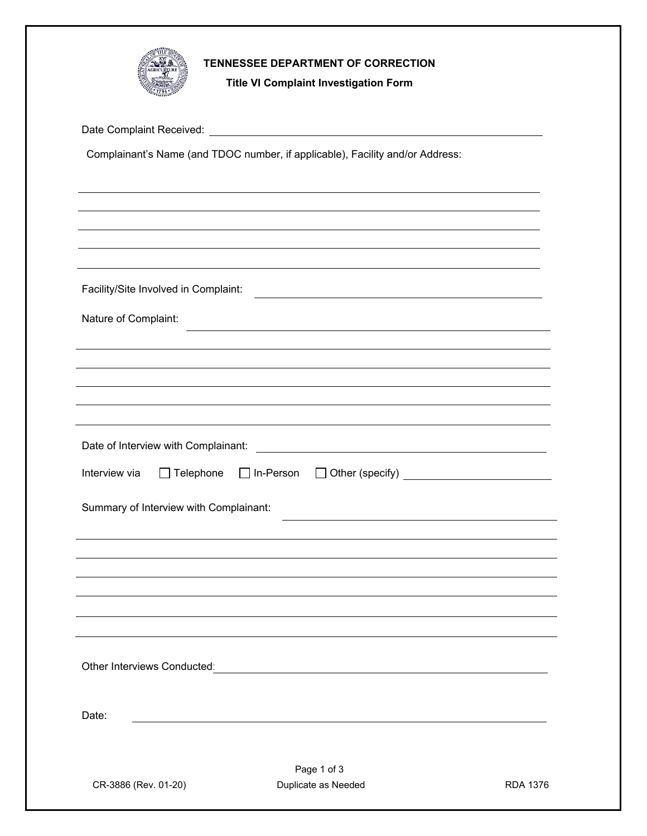

**Title VI Complaint Investigation Form** 

Date Complaint Received:

Complainant's Name (and TDOC number, if applicable), Facility and/or Address:

Page 1 of 3 CR-3886 (Rev. 01-20) Duplicate as Needed RDA 1376 Facility/Site Involved in Complaint: Nature of Complaint: Date of Interview with Complainant: **with the accomplement of the Complainant** of the context of the context of the context of the context of the context of the context of the context of the context of the context of the c Interview via Telephone In-Person Other (specify) Summary of Interview with Complainant: Date: Other Interviews Conducted: **Example 2018** 2019 2019 2021 2022 2023 2024 2022 2023 2024 2022 2023 2024 2022 2023 2024 2022 2023 2022 2023 2024 2022 2023 2024 2022 2023 2024 2022 2023 2024 2025 2022 2023 2024 2025 2024 2025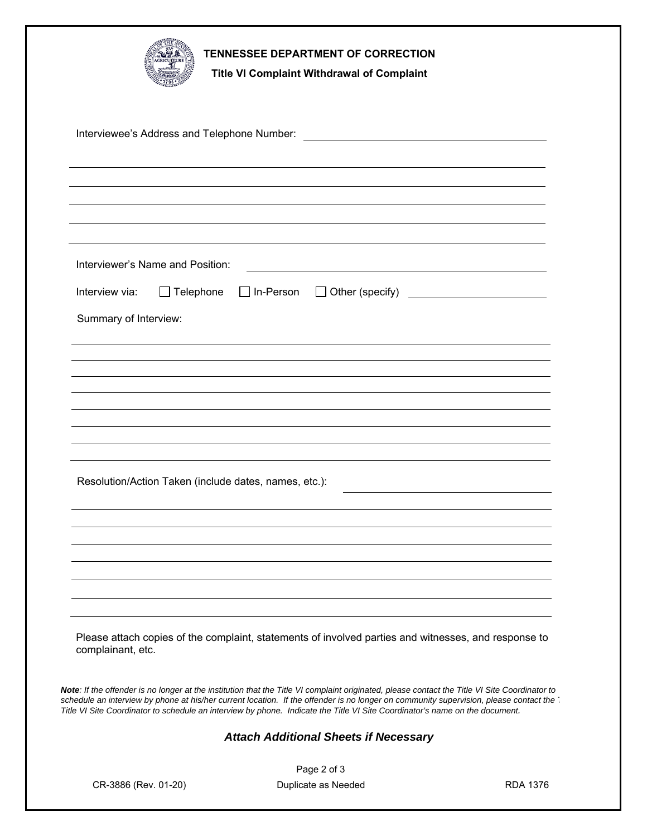|                                                       | TENNESSEE DEPARTMENT OF CORRECTION<br><b>Title VI Complaint Withdrawal of Complaint</b>                                                                                                                                                                                                                                                                                                                               |                 |
|-------------------------------------------------------|-----------------------------------------------------------------------------------------------------------------------------------------------------------------------------------------------------------------------------------------------------------------------------------------------------------------------------------------------------------------------------------------------------------------------|-----------------|
|                                                       |                                                                                                                                                                                                                                                                                                                                                                                                                       |                 |
|                                                       |                                                                                                                                                                                                                                                                                                                                                                                                                       |                 |
|                                                       |                                                                                                                                                                                                                                                                                                                                                                                                                       |                 |
|                                                       |                                                                                                                                                                                                                                                                                                                                                                                                                       |                 |
| Interviewer's Name and Position:                      |                                                                                                                                                                                                                                                                                                                                                                                                                       |                 |
| Interview via:<br>$\Box$ Telephone                    | $\Box$ In-Person<br>$\Box$ Other (specify)                                                                                                                                                                                                                                                                                                                                                                            |                 |
| Summary of Interview:                                 |                                                                                                                                                                                                                                                                                                                                                                                                                       |                 |
|                                                       |                                                                                                                                                                                                                                                                                                                                                                                                                       |                 |
|                                                       |                                                                                                                                                                                                                                                                                                                                                                                                                       |                 |
|                                                       |                                                                                                                                                                                                                                                                                                                                                                                                                       |                 |
|                                                       |                                                                                                                                                                                                                                                                                                                                                                                                                       |                 |
|                                                       |                                                                                                                                                                                                                                                                                                                                                                                                                       |                 |
| Resolution/Action Taken (include dates, names, etc.): |                                                                                                                                                                                                                                                                                                                                                                                                                       |                 |
|                                                       |                                                                                                                                                                                                                                                                                                                                                                                                                       |                 |
|                                                       |                                                                                                                                                                                                                                                                                                                                                                                                                       |                 |
|                                                       |                                                                                                                                                                                                                                                                                                                                                                                                                       |                 |
|                                                       |                                                                                                                                                                                                                                                                                                                                                                                                                       |                 |
|                                                       |                                                                                                                                                                                                                                                                                                                                                                                                                       |                 |
| complainant, etc.                                     | Please attach copies of the complaint, statements of involved parties and witnesses, and response to                                                                                                                                                                                                                                                                                                                  |                 |
|                                                       | Note: If the offender is no longer at the institution that the Title VI complaint originated, please contact the Title VI Site Coordinator to<br>schedule an interview by phone at his/her current location. If the offender is no longer on community supervision, please contact the<br>Title VI Site Coordinator to schedule an interview by phone. Indicate the Title VI Site Coordinator's name on the document. |                 |
|                                                       | <b>Attach Additional Sheets if Necessary</b>                                                                                                                                                                                                                                                                                                                                                                          |                 |
|                                                       | Page 2 of 3                                                                                                                                                                                                                                                                                                                                                                                                           |                 |
| CR-3886 (Rev. 01-20)                                  | Duplicate as Needed                                                                                                                                                                                                                                                                                                                                                                                                   | <b>RDA 1376</b> |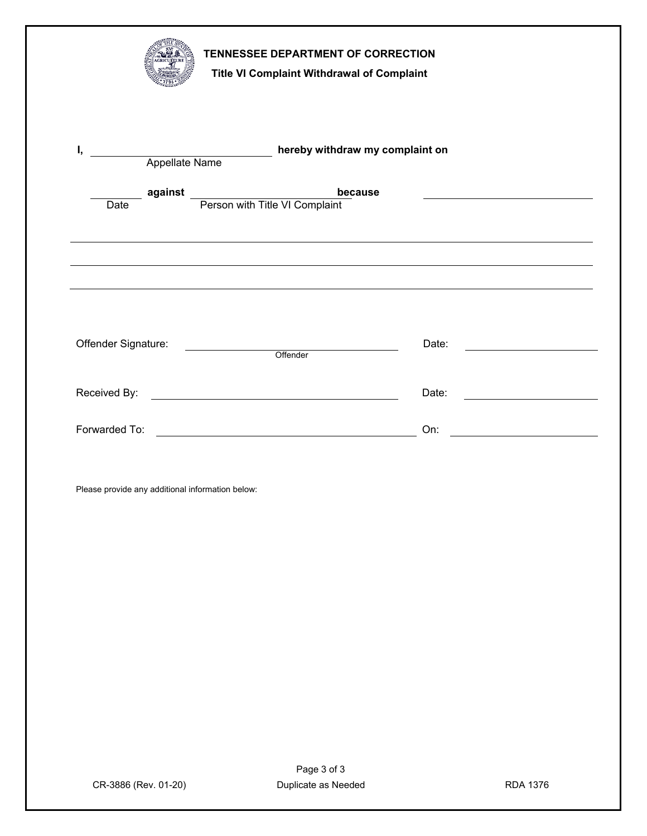| TENNESSEE DEPARTMENT OF CORRECTION<br>Title VI Complaint Withdrawal of Complaint                                                                                                                                                                            |       |
|-------------------------------------------------------------------------------------------------------------------------------------------------------------------------------------------------------------------------------------------------------------|-------|
| hereby withdraw my complaint on<br>I,<br>Appellate Name                                                                                                                                                                                                     |       |
| b<br>Person with Title VI Complaint<br>because<br>against<br>Date                                                                                                                                                                                           |       |
|                                                                                                                                                                                                                                                             |       |
| <u>Der andere version of the set of the set of the set of the set of the set of the set of the set of the set of the set of the set of the set of the set of the set of the set of the set of the set of the set of the set of t</u><br>Offender Signature: | Date: |
|                                                                                                                                                                                                                                                             | Date: |
| Forwarded To:                                                                                                                                                                                                                                               | On:   |
| Please provide any additional information below:                                                                                                                                                                                                            |       |